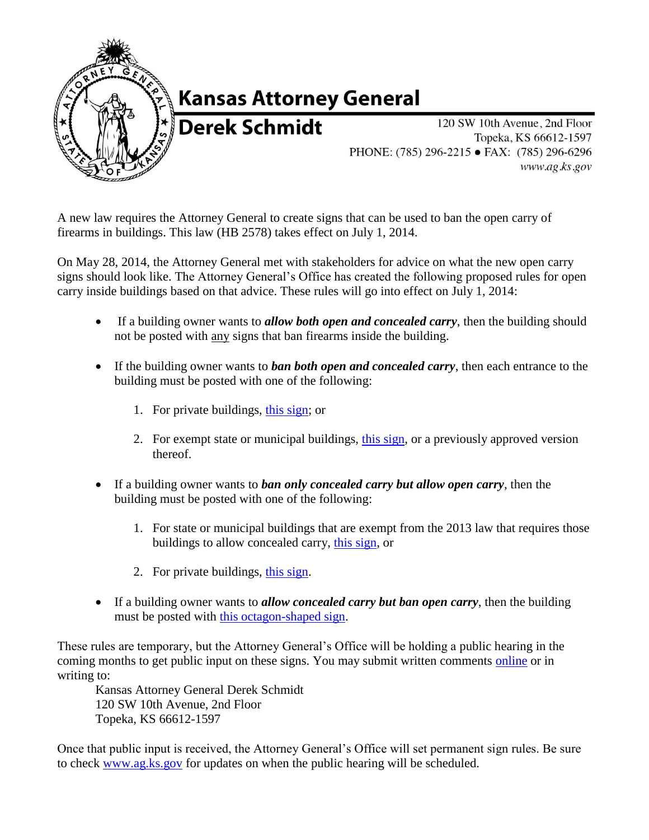

## **Kansas Attorney General**

**Derek Schmidt** 

120 SW 10th Avenue, 2nd Floor Topeka, KS 66612-1597 PHONE: (785) 296-2215 • FAX: (785) 296-6296 www.ag.ks.gov

A new law requires the Attorney General to create signs that can be used to ban the open carry of firearms in buildings. This law (HB 2578) takes effect on July 1, 2014.

On May 28, 2014, the Attorney General met with stakeholders for advice on what the new open carry signs should look like. The Attorney General's Office has created the following proposed rules for open carry inside buildings based on that advice. These rules will go into effect on July 1, 2014:

- If a building owner wants to *allow both open and concealed carry*, then the building should not be posted with any signs that ban firearms inside the building.
- If the building owner wants to *ban both open and concealed carry*, then each entrance to the building must be posted with one of the following:
	- 1. For private buildings, [this sign;](http://ag.ks.gov/docs/default-source/documents/required-signage-for-buildings-other-than-state-or-municipal-buildlings.pdf?sfvrsn=4) or
	- 2. For exempt state or municipal buildings, [this sign,](http://ag.ks.gov/docs/default-source/documents/required-signage-for-exempted-state-or-municipal-buildings.pdf?sfvrsn=7) or a previously approved version thereof.
- If a building owner wants to *ban only concealed carry but allow open carry*, then the building must be posted with one of the following:
	- 1. For state or municipal buildings that are exempt from the 2013 law that requires those buildings to allow concealed carry, [this sign,](http://ag.ks.gov/docs/default-source/documents/2014privatebuildingopencarryallowed.pdf?sfvrsn=2) or
	- 2. For private buildings, [this sign.](http://ag.ks.gov/docs/default-source/documents/2014privatebuildingopencarryallowed.pdf?sfvrsn=2)
- If a building owner wants to *allow concealed carry but ban open carry*, then the building must be posted with this [octagon-shaped sign.](http://ag.ks.gov/docs/default-source/documents/2014opencarryprohibitedweb.pdf?sfvrsn=2)

These rules are temporary, but the Attorney General's Office will be holding a public hearing in the coming months to get public input on these signs. You may submit written comments [online](http://ag.ks.gov/public-safety/concealedcarry/2014-proposed-signage-comments) or in writing to:

Kansas Attorney General Derek Schmidt 120 SW 10th Avenue, 2nd Floor Topeka, KS 66612-1597

Once that public input is received, the Attorney General's Office will set permanent sign rules. Be sure to check [www.ag.ks.gov](http://www.ag.ks.gov/) for updates on when the public hearing will be scheduled.